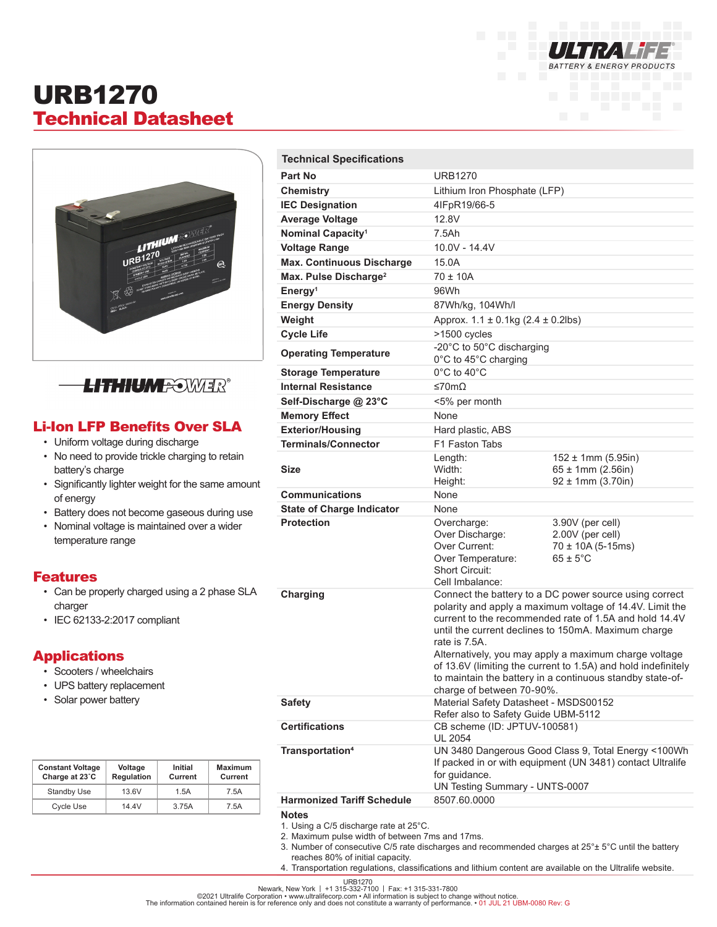

# URB1270 Technical Datasheet



# **LITHIUMFOWER®**

### Li-Ion LFP Benefits Over SLA

- Uniform voltage during discharge
- No need to provide trickle charging to retain battery's charge
- Significantly lighter weight for the same amount of energy
- Battery does not become gaseous during use
- Nominal voltage is maintained over a wider temperature range

#### Features

- Can be properly charged using a 2 phase SLA charger
- IEC 62133-2:2017 compliant

#### **Applications**

- Scooters / wheelchairs
- UPS battery replacement
- Solar power battery

| <b>Constant Voltage</b><br>Charge at 23°C | Voltage<br>Regulation | Initial<br>Current | Maximum<br>Current |
|-------------------------------------------|-----------------------|--------------------|--------------------|
| <b>Standby Use</b>                        | 13.6V                 | 1.5A               | 7.5A               |
| Cycle Use                                 | 14.4V                 | 3.75A              | 7 5A               |

| <b>Technical Specifications</b>   |                                                                                                                                                                                                                                                                                                                                                                                                                                                                          |                                                                                      |  |
|-----------------------------------|--------------------------------------------------------------------------------------------------------------------------------------------------------------------------------------------------------------------------------------------------------------------------------------------------------------------------------------------------------------------------------------------------------------------------------------------------------------------------|--------------------------------------------------------------------------------------|--|
| Part No                           | <b>URB1270</b>                                                                                                                                                                                                                                                                                                                                                                                                                                                           |                                                                                      |  |
| Chemistry                         | Lithium Iron Phosphate (LFP)                                                                                                                                                                                                                                                                                                                                                                                                                                             |                                                                                      |  |
| <b>IEC Designation</b>            | 4IFpR19/66-5                                                                                                                                                                                                                                                                                                                                                                                                                                                             |                                                                                      |  |
| <b>Average Voltage</b>            | 12.8V                                                                                                                                                                                                                                                                                                                                                                                                                                                                    |                                                                                      |  |
| Nominal Capacity <sup>1</sup>     | 7.5Ah                                                                                                                                                                                                                                                                                                                                                                                                                                                                    |                                                                                      |  |
| <b>Voltage Range</b>              | 10.0V - 14.4V                                                                                                                                                                                                                                                                                                                                                                                                                                                            |                                                                                      |  |
| <b>Max. Continuous Discharge</b>  | 15.0A                                                                                                                                                                                                                                                                                                                                                                                                                                                                    |                                                                                      |  |
| Max. Pulse Discharge <sup>2</sup> | $70 \pm 10A$                                                                                                                                                                                                                                                                                                                                                                                                                                                             |                                                                                      |  |
| Energy <sup>1</sup>               | 96Wh                                                                                                                                                                                                                                                                                                                                                                                                                                                                     |                                                                                      |  |
| <b>Energy Density</b>             | 87Wh/kg, 104Wh/l                                                                                                                                                                                                                                                                                                                                                                                                                                                         |                                                                                      |  |
| Weight                            | Approx. 1.1 ± 0.1kg (2.4 ± 0.2lbs)                                                                                                                                                                                                                                                                                                                                                                                                                                       |                                                                                      |  |
| <b>Cycle Life</b>                 | >1500 cycles                                                                                                                                                                                                                                                                                                                                                                                                                                                             |                                                                                      |  |
|                                   | -20°C to 50°C discharging                                                                                                                                                                                                                                                                                                                                                                                                                                                |                                                                                      |  |
| <b>Operating Temperature</b>      | 0°C to 45°C charging                                                                                                                                                                                                                                                                                                                                                                                                                                                     |                                                                                      |  |
| <b>Storage Temperature</b>        | $0^{\circ}$ C to 40 $^{\circ}$ C                                                                                                                                                                                                                                                                                                                                                                                                                                         |                                                                                      |  |
| <b>Internal Resistance</b>        | ≤70mΩ                                                                                                                                                                                                                                                                                                                                                                                                                                                                    |                                                                                      |  |
| Self-Discharge @ 23°C             | <5% per month                                                                                                                                                                                                                                                                                                                                                                                                                                                            |                                                                                      |  |
| <b>Memory Effect</b>              | None                                                                                                                                                                                                                                                                                                                                                                                                                                                                     |                                                                                      |  |
| <b>Exterior/Housing</b>           | Hard plastic, ABS                                                                                                                                                                                                                                                                                                                                                                                                                                                        |                                                                                      |  |
| <b>Terminals/Connector</b>        | F1 Faston Tabs                                                                                                                                                                                                                                                                                                                                                                                                                                                           |                                                                                      |  |
| <b>Size</b>                       | Length:<br>Width:<br>Height:                                                                                                                                                                                                                                                                                                                                                                                                                                             | $152 \pm 1$ mm (5.95in)<br>$65 \pm 1$ mm (2.56in)<br>$92 \pm 1$ mm (3.70in)          |  |
| <b>Communications</b>             | None                                                                                                                                                                                                                                                                                                                                                                                                                                                                     |                                                                                      |  |
| <b>State of Charge Indicator</b>  | None                                                                                                                                                                                                                                                                                                                                                                                                                                                                     |                                                                                      |  |
| <b>Protection</b>                 | Overcharge:<br>Over Discharge:<br>Over Current:<br>Over Temperature:<br><b>Short Circuit:</b>                                                                                                                                                                                                                                                                                                                                                                            | 3.90V (per cell)<br>2.00V (per cell)<br>$70 \pm 10A(5-15ms)$<br>$65 \pm 5^{\circ}$ C |  |
|                                   | Cell Imbalance:                                                                                                                                                                                                                                                                                                                                                                                                                                                          |                                                                                      |  |
| Charging                          | Connect the battery to a DC power source using correct<br>polarity and apply a maximum voltage of 14.4V. Limit the<br>current to the recommended rate of 1.5A and hold 14.4V<br>until the current declines to 150mA. Maximum charge<br>rate is 7.5A.<br>Alternatively, you may apply a maximum charge voltage<br>of 13.6V (limiting the current to 1.5A) and hold indefinitely<br>to maintain the battery in a continuous standby state-of-<br>charge of between 70-90%. |                                                                                      |  |
| <b>Safety</b>                     | Material Safety Datasheet - MSDS00152<br>Refer also to Safety Guide UBM-5112                                                                                                                                                                                                                                                                                                                                                                                             |                                                                                      |  |
| <b>Certifications</b>             | CB scheme (ID: JPTUV-100581)<br><b>UL 2054</b>                                                                                                                                                                                                                                                                                                                                                                                                                           |                                                                                      |  |
| Transportation <sup>4</sup>       | UN 3480 Dangerous Good Class 9, Total Energy <100Wh<br>If packed in or with equipment (UN 3481) contact Ultralife<br>for guidance.<br>UN Testing Summary - UNTS-0007                                                                                                                                                                                                                                                                                                     |                                                                                      |  |
| <b>Harmonized Tariff Schedule</b> | 8507.60.0000                                                                                                                                                                                                                                                                                                                                                                                                                                                             |                                                                                      |  |
|                                   |                                                                                                                                                                                                                                                                                                                                                                                                                                                                          |                                                                                      |  |

#### **Notes**

- 1. Using a C/5 discharge rate at 25°C.
- 2. Maximum pulse width of between 7ms and 17ms.
- 3. Number of consecutive C/5 rate discharges and recommended charges at 25°± 5°C until the battery reaches 80% of initial capacity.
- 4. Transportation regulations, classifications and lithium content are available on the Ultralife website.

URB1270<br>Newark, New York │ +1 315-332-7100 │ Fax: +1 315-331-7800<br>The information contained herein is for reference only and does not constitute a warranty of performance. • 01 JUL 21 UBM-0080 Rev: G<br>The information conta